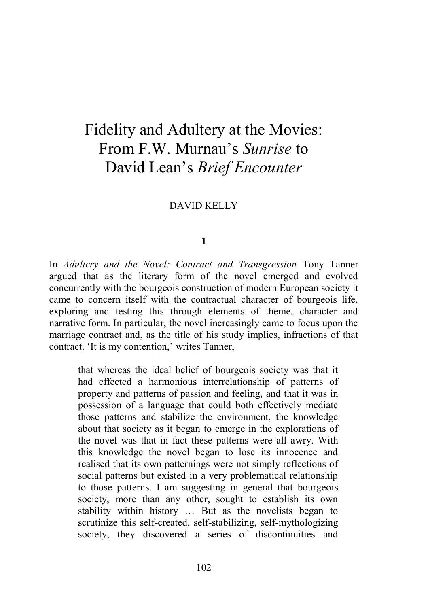# Fidelity and Adultery at the Movies: From F.W. Murnau's *Sunrise* to David Lean's *Brief Encounter*

## DAVID KELLY

### **1**

In *Adultery and the Novel: Contract and Transgression* Tony Tanner argued that as the literary form of the novel emerged and evolved concurrently with the bourgeois construction of modern European society it came to concern itself with the contractual character of bourgeois life, exploring and testing this through elements of theme, character and narrative form. In particular, the novel increasingly came to focus upon the marriage contract and, as the title of his study implies, infractions of that contract. 'It is my contention,' writes Tanner,

that whereas the ideal belief of bourgeois society was that it had effected a harmonious interrelationship of patterns of property and patterns of passion and feeling, and that it was in possession of a language that could both effectively mediate those patterns and stabilize the environment, the knowledge about that society as it began to emerge in the explorations of the novel was that in fact these patterns were all awry. With this knowledge the novel began to lose its innocence and realised that its own patternings were not simply reflections of social patterns but existed in a very problematical relationship to those patterns. I am suggesting in general that bourgeois society, more than any other, sought to establish its own stability within history … But as the novelists began to scrutinize this self-created, self-stabilizing, self-mythologizing society, they discovered a series of discontinuities and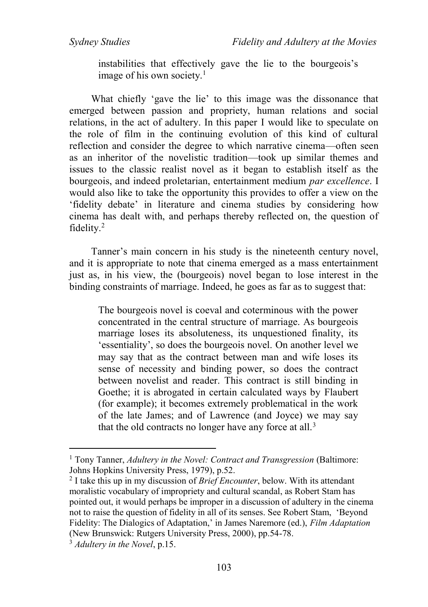instabilities that effectively gave the lie to the bourgeois's image of his own society.<sup>1</sup>

What chiefly 'gave the lie' to this image was the dissonance that emerged between passion and propriety, human relations and social relations, in the act of adultery. In this paper I would like to speculate on the role of film in the continuing evolution of this kind of cultural reflection and consider the degree to which narrative cinema—often seen as an inheritor of the novelistic tradition—took up similar themes and issues to the classic realist novel as it began to establish itself as the bourgeois, and indeed proletarian, entertainment medium *par excellence*. I would also like to take the opportunity this provides to offer a view on the 'fidelity debate' in literature and cinema studies by considering how cinema has dealt with, and perhaps thereby reflected on, the question of fidelity.<sup>2</sup>

Tanner's main concern in his study is the nineteenth century novel, and it is appropriate to note that cinema emerged as a mass entertainment just as, in his view, the (bourgeois) novel began to lose interest in the binding constraints of marriage. Indeed, he goes as far as to suggest that:

The bourgeois novel is coeval and coterminous with the power concentrated in the central structure of marriage. As bourgeois marriage loses its absoluteness, its unquestioned finality, its 'essentiality', so does the bourgeois novel. On another level we may say that as the contract between man and wife loses its sense of necessity and binding power, so does the contract between novelist and reader. This contract is still binding in Goethe; it is abrogated in certain calculated ways by Flaubert (for example); it becomes extremely problematical in the work of the late James; and of Lawrence (and Joyce) we may say that the old contracts no longer have any force at all.<sup>3</sup>

<sup>1</sup> Tony Tanner, *Adultery in the Novel: Contract and Transgression* (Baltimore: Johns Hopkins University Press, 1979), p.52.

<sup>2</sup> I take this up in my discussion of *Brief Encounter*, below. With its attendant moralistic vocabulary of impropriety and cultural scandal, as Robert Stam has pointed out, it would perhaps be improper in a discussion of adultery in the cinema not to raise the question of fidelity in all of its senses. See Robert Stam, 'Beyond Fidelity: The Dialogics of Adaptation,' in James Naremore (ed.), *Film Adaptation* (New Brunswick: Rutgers University Press, 2000), pp.54-78.

<sup>3</sup> *Adultery in the Novel*, p.15.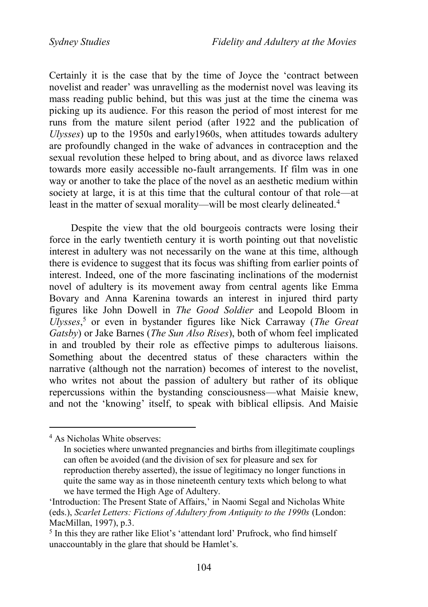Certainly it is the case that by the time of Joyce the 'contract between novelist and reader' was unravelling as the modernist novel was leaving its mass reading public behind, but this was just at the time the cinema was picking up its audience. For this reason the period of most interest for me runs from the mature silent period (after 1922 and the publication of *Ulysses*) up to the 1950s and early1960s, when attitudes towards adultery are profoundly changed in the wake of advances in contraception and the sexual revolution these helped to bring about, and as divorce laws relaxed towards more easily accessible no-fault arrangements. If film was in one way or another to take the place of the novel as an aesthetic medium within society at large, it is at this time that the cultural contour of that role—at least in the matter of sexual morality—will be most clearly delineated.<sup>4</sup>

Despite the view that the old bourgeois contracts were losing their force in the early twentieth century it is worth pointing out that novelistic interest in adultery was not necessarily on the wane at this time, although there is evidence to suggest that its focus was shifting from earlier points of interest. Indeed, one of the more fascinating inclinations of the modernist novel of adultery is its movement away from central agents like Emma Bovary and Anna Karenina towards an interest in injured third party figures like John Dowell in *The Good Soldier* and Leopold Bloom in *Ulysses*, <sup>5</sup> or even in bystander figures like Nick Carraway (*The Great Gatsby*) or Jake Barnes (*The Sun Also Rises*), both of whom feel implicated in and troubled by their role as effective pimps to adulterous liaisons. Something about the decentred status of these characters within the narrative (although not the narration) becomes of interest to the novelist, who writes not about the passion of adultery but rather of its oblique repercussions within the bystanding consciousness—what Maisie knew, and not the 'knowing' itself, to speak with biblical ellipsis. And Maisie

<sup>4</sup> As Nicholas White observes:

In societies where unwanted pregnancies and births from illegitimate couplings can often be avoided (and the division of sex for pleasure and sex for reproduction thereby asserted), the issue of legitimacy no longer functions in quite the same way as in those nineteenth century texts which belong to what we have termed the High Age of Adultery.

<sup>&#</sup>x27;Introduction: The Present State of Affairs,' in Naomi Segal and Nicholas White (eds.), *Scarlet Letters: Fictions of Adultery from Antiquity to the 1990s* (London: MacMillan, 1997), p.3.

<sup>&</sup>lt;sup>5</sup> In this they are rather like Eliot's 'attendant lord' Prufrock, who find himself unaccountably in the glare that should be Hamlet's.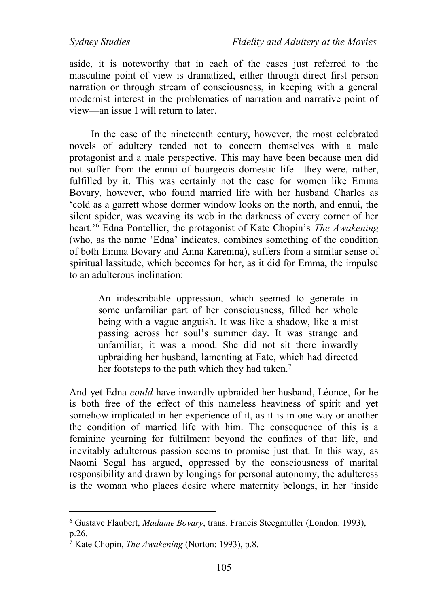aside, it is noteworthy that in each of the cases just referred to the masculine point of view is dramatized, either through direct first person narration or through stream of consciousness, in keeping with a general modernist interest in the problematics of narration and narrative point of view—an issue I will return to later.

In the case of the nineteenth century, however, the most celebrated novels of adultery tended not to concern themselves with a male protagonist and a male perspective. This may have been because men did not suffer from the ennui of bourgeois domestic life—they were, rather, fulfilled by it. This was certainly not the case for women like Emma Bovary, however, who found married life with her husband Charles as 'cold as a garrett whose dormer window looks on the north, and ennui, the silent spider, was weaving its web in the darkness of every corner of her heart.'<sup>6</sup> Edna Pontellier, the protagonist of Kate Chopin's *The Awakening* (who, as the name 'Edna' indicates, combines something of the condition of both Emma Bovary and Anna Karenina), suffers from a similar sense of spiritual lassitude, which becomes for her, as it did for Emma, the impulse to an adulterous inclination:

An indescribable oppression, which seemed to generate in some unfamiliar part of her consciousness, filled her whole being with a vague anguish. It was like a shadow, like a mist passing across her soul's summer day. It was strange and unfamiliar; it was a mood. She did not sit there inwardly upbraiding her husband, lamenting at Fate, which had directed her footsteps to the path which they had taken.<sup>7</sup>

And yet Edna *could* have inwardly upbraided her husband, Léonce, for he is both free of the effect of this nameless heaviness of spirit and yet somehow implicated in her experience of it, as it is in one way or another the condition of married life with him. The consequence of this is a feminine yearning for fulfilment beyond the confines of that life, and inevitably adulterous passion seems to promise just that. In this way, as Naomi Segal has argued, oppressed by the consciousness of marital responsibility and drawn by longings for personal autonomy, the adulteress is the woman who places desire where maternity belongs, in her 'inside

<sup>6</sup> Gustave Flaubert, *Madame Bovary*, trans. Francis Steegmuller (London: 1993), p.26.

<sup>7</sup> Kate Chopin, *The Awakening* (Norton: 1993), p.8.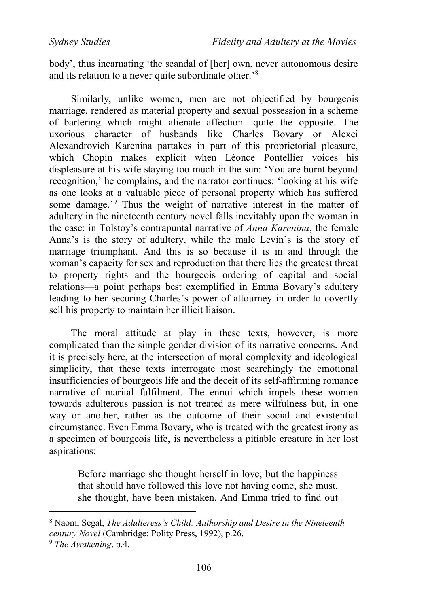*Sydney Studies Fidelity and Adultery at the Movies*

body', thus incarnating 'the scandal of [her] own, never autonomous desire and its relation to a never quite subordinate other.'<sup>8</sup>

Similarly, unlike women, men are not objectified by bourgeois marriage, rendered as material property and sexual possession in a scheme of bartering which might alienate affection—quite the opposite. The uxorious character of husbands like Charles Bovary or Alexei Alexandrovich Karenina partakes in part of this proprietorial pleasure, which Chopin makes explicit when Léonce Pontellier voices his displeasure at his wife staying too much in the sun: 'You are burnt beyond recognition,' he complains, and the narrator continues: 'looking at his wife as one looks at a valuable piece of personal property which has suffered some damage.'<sup>9</sup> Thus the weight of narrative interest in the matter of adultery in the nineteenth century novel falls inevitably upon the woman in the case: in Tolstoy's contrapuntal narrative of *Anna Karenina*, the female Anna's is the story of adultery, while the male Levin's is the story of marriage triumphant. And this is so because it is in and through the woman's capacity for sex and reproduction that there lies the greatest threat to property rights and the bourgeois ordering of capital and social relations—a point perhaps best exemplified in Emma Bovary's adultery leading to her securing Charles's power of attourney in order to covertly sell his property to maintain her illicit liaison.

The moral attitude at play in these texts, however, is more complicated than the simple gender division of its narrative concerns. And it is precisely here, at the intersection of moral complexity and ideological simplicity, that these texts interrogate most searchingly the emotional insufficiencies of bourgeois life and the deceit of its self-affirming romance narrative of marital fulfilment. The ennui which impels these women towards adulterous passion is not treated as mere wilfulness but, in one way or another, rather as the outcome of their social and existential circumstance. Even Emma Bovary, who is treated with the greatest irony as a specimen of bourgeois life, is nevertheless a pitiable creature in her lost aspirations:

Before marriage she thought herself in love; but the happiness that should have followed this love not having come, she must, she thought, have been mistaken. And Emma tried to find out

<sup>8</sup> Naomi Segal, *The Adulteress's Child: Authorship and Desire in the Nineteenth century Novel* (Cambridge: Polity Press, 1992), p.26.

<sup>9</sup> *The Awakening*, p.4.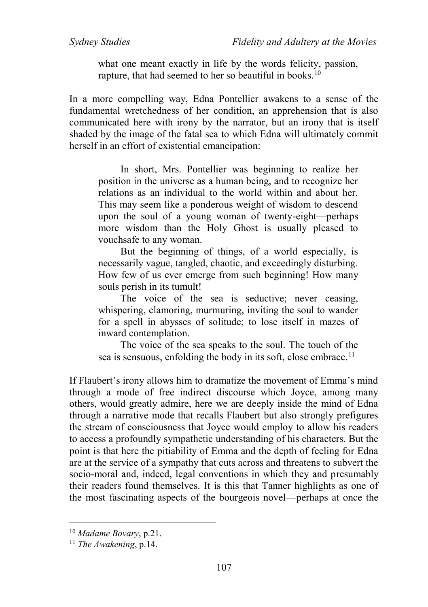what one meant exactly in life by the words felicity, passion, rapture, that had seemed to her so beautiful in books.<sup>10</sup>

In a more compelling way, Edna Pontellier awakens to a sense of the fundamental wretchedness of her condition, an apprehension that is also communicated here with irony by the narrator, but an irony that is itself shaded by the image of the fatal sea to which Edna will ultimately commit herself in an effort of existential emancipation:

 In short, Mrs. Pontellier was beginning to realize her position in the universe as a human being, and to recognize her relations as an individual to the world within and about her. This may seem like a ponderous weight of wisdom to descend upon the soul of a young woman of twenty-eight—perhaps more wisdom than the Holy Ghost is usually pleased to vouchsafe to any woman.

 But the beginning of things, of a world especially, is necessarily vague, tangled, chaotic, and exceedingly disturbing. How few of us ever emerge from such beginning! How many souls perish in its tumult!

The voice of the sea is seductive; never ceasing, whispering, clamoring, murmuring, inviting the soul to wander for a spell in abysses of solitude; to lose itself in mazes of inward contemplation.

 The voice of the sea speaks to the soul. The touch of the sea is sensuous, enfolding the body in its soft, close embrace.<sup>11</sup>

If Flaubert's irony allows him to dramatize the movement of Emma's mind through a mode of free indirect discourse which Joyce, among many others, would greatly admire, here we are deeply inside the mind of Edna through a narrative mode that recalls Flaubert but also strongly prefigures the stream of consciousness that Joyce would employ to allow his readers to access a profoundly sympathetic understanding of his characters. But the point is that here the pitiability of Emma and the depth of feeling for Edna are at the service of a sympathy that cuts across and threatens to subvert the socio-moral and, indeed, legal conventions in which they and presumably their readers found themselves. It is this that Tanner highlights as one of the most fascinating aspects of the bourgeois novel—perhaps at once the

<sup>10</sup> *Madame Bovary*, p.21.

<sup>11</sup> *The Awakening*, p.14.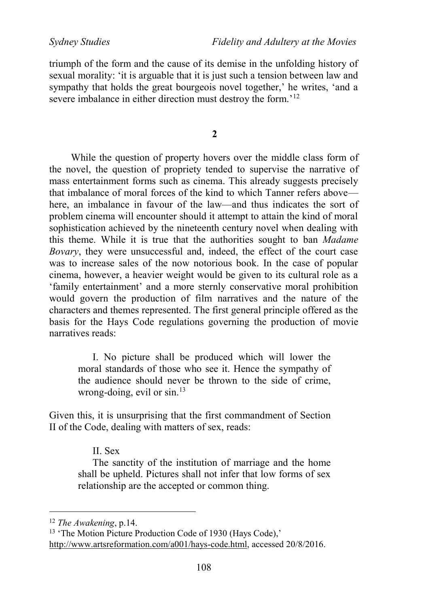*Sydney Studies Fidelity and Adultery at the Movies*

triumph of the form and the cause of its demise in the unfolding history of sexual morality: 'it is arguable that it is just such a tension between law and sympathy that holds the great bourgeois novel together,' he writes, 'and a severe imbalance in either direction must destroy the form.<sup>'12</sup>

**2**

While the question of property hovers over the middle class form of the novel, the question of propriety tended to supervise the narrative of mass entertainment forms such as cinema. This already suggests precisely that imbalance of moral forces of the kind to which Tanner refers above here, an imbalance in favour of the law—and thus indicates the sort of problem cinema will encounter should it attempt to attain the kind of moral sophistication achieved by the nineteenth century novel when dealing with this theme. While it is true that the authorities sought to ban *Madame Bovary*, they were unsuccessful and, indeed, the effect of the court case was to increase sales of the now notorious book. In the case of popular cinema, however, a heavier weight would be given to its cultural role as a 'family entertainment' and a more sternly conservative moral prohibition would govern the production of film narratives and the nature of the characters and themes represented. The first general principle offered as the basis for the Hays Code regulations governing the production of movie narratives reads:

I. No picture shall be produced which will lower the moral standards of those who see it. Hence the sympathy of the audience should never be thrown to the side of crime, wrong-doing, evil or sin.<sup>13</sup>

Given this, it is unsurprising that the first commandment of Section II of the Code, dealing with matters of sex, reads:

II. Sex

The sanctity of the institution of marriage and the home shall be upheld. Pictures shall not infer that low forms of sex relationship are the accepted or common thing.

<sup>12</sup> *The Awakening*, p.14.

<sup>&</sup>lt;sup>13</sup> 'The Motion Picture Production Code of 1930 (Hays Code),' [http://www.artsreformation.com/a001/hays-code.html,](http://www.artsreformation.com/a001/hays-code.html) accessed 20/8/2016.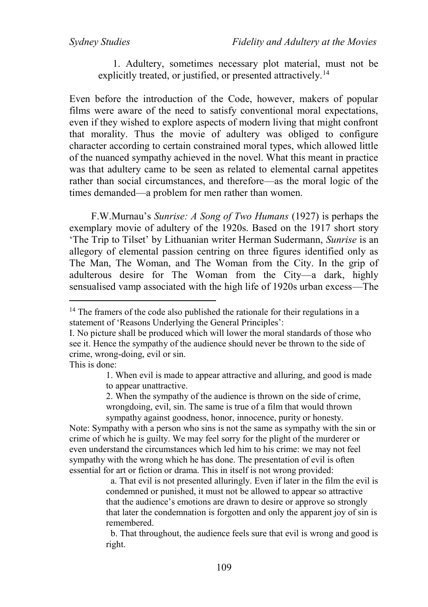1. Adultery, sometimes necessary plot material, must not be explicitly treated, or justified, or presented attractively.<sup>14</sup>

Even before the introduction of the Code, however, makers of popular films were aware of the need to satisfy conventional moral expectations, even if they wished to explore aspects of modern living that might confront that morality. Thus the movie of adultery was obliged to configure character according to certain constrained moral types, which allowed little of the nuanced sympathy achieved in the novel. What this meant in practice was that adultery came to be seen as related to elemental carnal appetites rather than social circumstances, and therefore—as the moral logic of the times demanded—a problem for men rather than women.

F.W.Murnau's *Sunrise: A Song of Two Humans* (1927) is perhaps the exemplary movie of adultery of the 1920s. Based on the 1917 short story 'The Trip to Tilset' by Lithuanian writer Herman Sudermann, *Sunrise* is an allegory of elemental passion centring on three figures identified only as The Man, The Woman, and The Woman from the City. In the grip of adulterous desire for The Woman from the City—a dark, highly sensualised vamp associated with the high life of 1920s urban excess—The

This is done:

 $\overline{a}$ 

2. When the sympathy of the audience is thrown on the side of crime, wrongdoing, evil, sin. The same is true of a film that would thrown sympathy against goodness, honor, innocence, purity or honesty.

Note: Sympathy with a person who sins is not the same as sympathy with the sin or crime of which he is guilty. We may feel sorry for the plight of the murderer or even understand the circumstances which led him to his crime: we may not feel sympathy with the wrong which he has done. The presentation of evil is often essential for art or fiction or drama. This in itself is not wrong provided:

> a. That evil is not presented alluringly. Even if later in the film the evil is condemned or punished, it must not be allowed to appear so attractive that the audience's emotions are drawn to desire or approve so strongly that later the condemnation is forgotten and only the apparent joy of sin is remembered.

> b. That throughout, the audience feels sure that evil is wrong and good is right.

<sup>&</sup>lt;sup>14</sup> The framers of the code also published the rationale for their regulations in a statement of 'Reasons Underlying the General Principles':

I. No picture shall be produced which will lower the moral standards of those who see it. Hence the sympathy of the audience should never be thrown to the side of crime, wrong-doing, evil or sin.

<sup>1.</sup> When evil is made to appear attractive and alluring, and good is made to appear unattractive.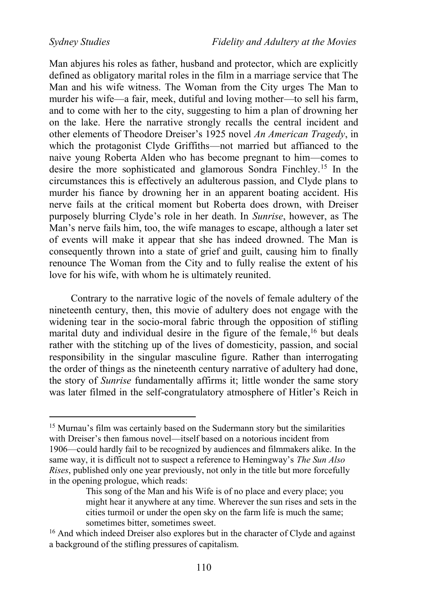Man abjures his roles as father, husband and protector, which are explicitly defined as obligatory marital roles in the film in a marriage service that The Man and his wife witness. The Woman from the City urges The Man to murder his wife—a fair, meek, dutiful and loving mother—to sell his farm, and to come with her to the city, suggesting to him a plan of drowning her on the lake. Here the narrative strongly recalls the central incident and other elements of Theodore Dreiser's 1925 novel *An American Tragedy*, in which the protagonist Clyde Griffiths—not married but affianced to the naive young Roberta Alden who has become pregnant to him—comes to desire the more sophisticated and glamorous Sondra Finchley.<sup>15</sup> In the circumstances this is effectively an adulterous passion, and Clyde plans to murder his fiance by drowning her in an apparent boating accident. His nerve fails at the critical moment but Roberta does drown, with Dreiser purposely blurring Clyde's role in her death. In *Sunrise*, however, as The Man's nerve fails him, too, the wife manages to escape, although a later set of events will make it appear that she has indeed drowned. The Man is consequently thrown into a state of grief and guilt, causing him to finally renounce The Woman from the City and to fully realise the extent of his love for his wife, with whom he is ultimately reunited.

Contrary to the narrative logic of the novels of female adultery of the nineteenth century, then, this movie of adultery does not engage with the widening tear in the socio-moral fabric through the opposition of stifling marital duty and individual desire in the figure of the female, <sup>16</sup> but deals rather with the stitching up of the lives of domesticity, passion, and social responsibility in the singular masculine figure. Rather than interrogating the order of things as the nineteenth century narrative of adultery had done, the story of *Sunrise* fundamentally affirms it; little wonder the same story was later filmed in the self-congratulatory atmosphere of Hitler's Reich in

<sup>&</sup>lt;sup>15</sup> Murnau's film was certainly based on the Sudermann story but the similarities with Dreiser's then famous novel—itself based on a notorious incident from 1906—could hardly fail to be recognized by audiences and filmmakers alike. In the same way, it is difficult not to suspect a reference to Hemingway's *The Sun Also Rises*, published only one year previously, not only in the title but more forcefully in the opening prologue, which reads:

This song of the Man and his Wife is of no place and every place; you might hear it anywhere at any time. Wherever the sun rises and sets in the cities turmoil or under the open sky on the farm life is much the same; sometimes bitter, sometimes sweet.

<sup>&</sup>lt;sup>16</sup> And which indeed Dreiser also explores but in the character of Clyde and against a background of the stifling pressures of capitalism.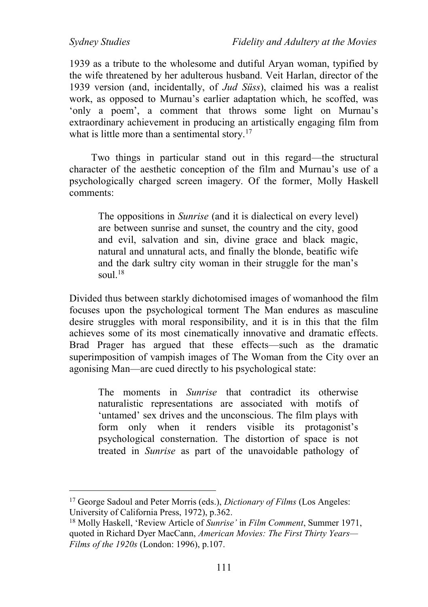1939 as a tribute to the wholesome and dutiful Aryan woman, typified by the wife threatened by her adulterous husband. Veit Harlan, director of the 1939 version (and, incidentally, of *Jud Süss*), claimed his was a realist work, as opposed to Murnau's earlier adaptation which, he scoffed, was 'only a poem', a comment that throws some light on Murnau's extraordinary achievement in producing an artistically engaging film from what is little more than a sentimental story.<sup>17</sup>

Two things in particular stand out in this regard—the structural character of the aesthetic conception of the film and Murnau's use of a psychologically charged screen imagery. Of the former, Molly Haskell comments:

The oppositions in *Sunrise* (and it is dialectical on every level) are between sunrise and sunset, the country and the city, good and evil, salvation and sin, divine grace and black magic, natural and unnatural acts, and finally the blonde, beatific wife and the dark sultry city woman in their struggle for the man's soul. $18$ 

Divided thus between starkly dichotomised images of womanhood the film focuses upon the psychological torment The Man endures as masculine desire struggles with moral responsibility, and it is in this that the film achieves some of its most cinematically innovative and dramatic effects. Brad Prager has argued that these effects—such as the dramatic superimposition of vampish images of The Woman from the City over an agonising Man—are cued directly to his psychological state:

The moments in *Sunrise* that contradict its otherwise naturalistic representations are associated with motifs of 'untamed' sex drives and the unconscious. The film plays with form only when it renders visible its protagonist's psychological consternation. The distortion of space is not treated in *Sunrise* as part of the unavoidable pathology of

 $\overline{a}$ <sup>17</sup> George Sadoul and Peter Morris (eds.), *Dictionary of Films* (Los Angeles: University of California Press, 1972), p.362.

<sup>18</sup> Molly Haskell, 'Review Article of *Sunrise'* in *Film Comment*, Summer 1971, quoted in Richard Dyer MacCann, *American Movies: The First Thirty Years— Films of the 1920s* (London: 1996), p.107.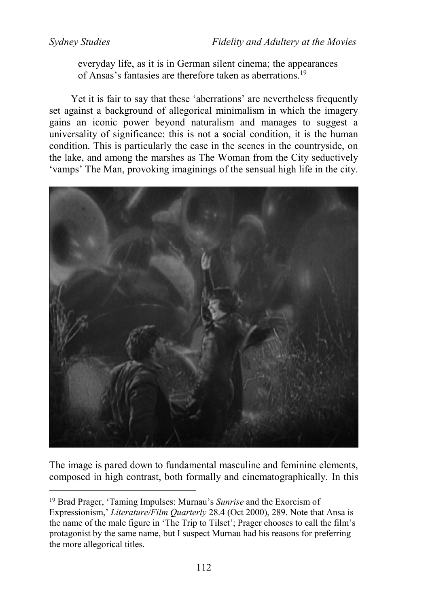everyday life, as it is in German silent cinema; the appearances of Ansas's fantasies are therefore taken as aberrations.<sup>19</sup>

Yet it is fair to say that these 'aberrations' are nevertheless frequently set against a background of allegorical minimalism in which the imagery gains an iconic power beyond naturalism and manages to suggest a universality of significance: this is not a social condition, it is the human condition. This is particularly the case in the scenes in the countryside, on the lake, and among the marshes as The Woman from the City seductively 'vamps' The Man, provoking imaginings of the sensual high life in the city.



The image is pared down to fundamental masculine and feminine elements, composed in high contrast, both formally and cinematographically. In this

<sup>19</sup> Brad Prager, 'Taming Impulses: Murnau's *Sunrise* and the Exorcism of Expressionism,' *Literature/Film Quarterly* 28.4 (Oct 2000), 289. Note that Ansa is the name of the male figure in 'The Trip to Tilset'; Prager chooses to call the film's protagonist by the same name, but I suspect Murnau had his reasons for preferring the more allegorical titles.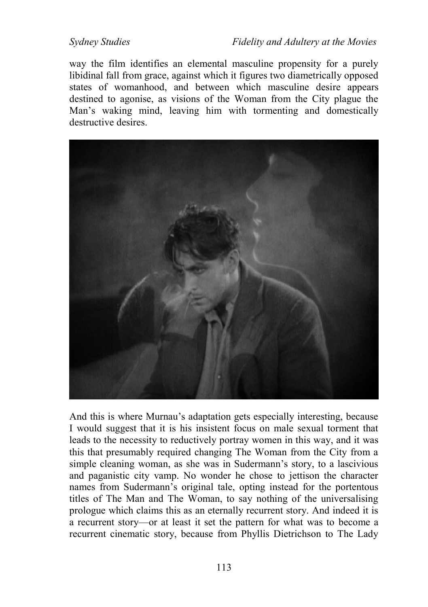way the film identifies an elemental masculine propensity for a purely libidinal fall from grace, against which it figures two diametrically opposed states of womanhood, and between which masculine desire appears destined to agonise, as visions of the Woman from the City plague the Man's waking mind, leaving him with tormenting and domestically destructive desires.



And this is where Murnau's adaptation gets especially interesting, because I would suggest that it is his insistent focus on male sexual torment that leads to the necessity to reductively portray women in this way, and it was this that presumably required changing The Woman from the City from a simple cleaning woman, as she was in Sudermann's story, to a lascivious and paganistic city vamp. No wonder he chose to jettison the character names from Sudermann's original tale, opting instead for the portentous titles of The Man and The Woman, to say nothing of the universalising prologue which claims this as an eternally recurrent story. And indeed it is a recurrent story—or at least it set the pattern for what was to become a recurrent cinematic story, because from Phyllis Dietrichson to The Lady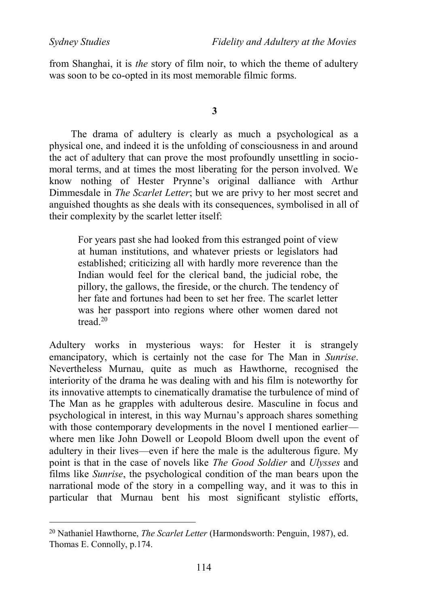from Shanghai, it is *the* story of film noir, to which the theme of adultery was soon to be co-opted in its most memorable filmic forms.

**3**

The drama of adultery is clearly as much a psychological as a physical one, and indeed it is the unfolding of consciousness in and around the act of adultery that can prove the most profoundly unsettling in sociomoral terms, and at times the most liberating for the person involved. We know nothing of Hester Prynne's original dalliance with Arthur Dimmesdale in *The Scarlet Letter*; but we are privy to her most secret and anguished thoughts as she deals with its consequences, symbolised in all of their complexity by the scarlet letter itself:

For years past she had looked from this estranged point of view at human institutions, and whatever priests or legislators had established; criticizing all with hardly more reverence than the Indian would feel for the clerical band, the judicial robe, the pillory, the gallows, the fireside, or the church. The tendency of her fate and fortunes had been to set her free. The scarlet letter was her passport into regions where other women dared not tread<sup>20</sup>

Adultery works in mysterious ways: for Hester it is strangely emancipatory, which is certainly not the case for The Man in *Sunrise*. Nevertheless Murnau, quite as much as Hawthorne, recognised the interiority of the drama he was dealing with and his film is noteworthy for its innovative attempts to cinematically dramatise the turbulence of mind of The Man as he grapples with adulterous desire. Masculine in focus and psychological in interest, in this way Murnau's approach shares something with those contemporary developments in the novel I mentioned earlier where men like John Dowell or Leopold Bloom dwell upon the event of adultery in their lives—even if here the male is the adulterous figure. My point is that in the case of novels like *The Good Soldier* and *Ulysses* and films like *Sunrise*, the psychological condition of the man bears upon the narrational mode of the story in a compelling way, and it was to this in particular that Murnau bent his most significant stylistic efforts,

<sup>20</sup> Nathaniel Hawthorne, *The Scarlet Letter* (Harmondsworth: Penguin, 1987), ed. Thomas E. Connolly, p.174.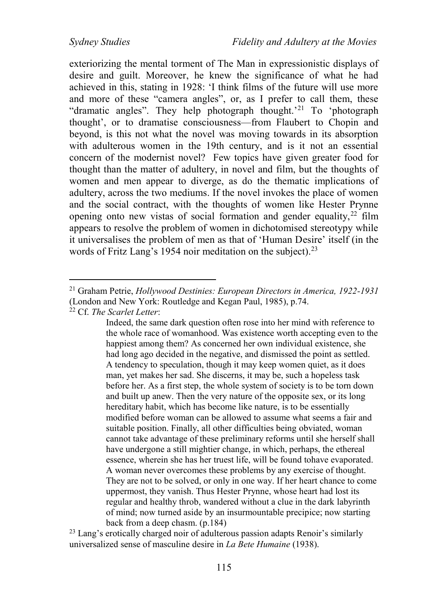exteriorizing the mental torment of The Man in expressionistic displays of desire and guilt. Moreover, he knew the significance of what he had achieved in this, stating in 1928: 'I think films of the future will use more and more of these "camera angles", or, as I prefer to call them, these "dramatic angles". They help photograph thought.'<sup>21</sup> To 'photograph thought', or to dramatise consciousness—from Flaubert to Chopin and beyond, is this not what the novel was moving towards in its absorption with adulterous women in the 19th century, and is it not an essential concern of the modernist novel? Few topics have given greater food for thought than the matter of adultery, in novel and film, but the thoughts of women and men appear to diverge, as do the thematic implications of adultery, across the two mediums. If the novel invokes the place of women and the social contract, with the thoughts of women like Hester Prynne opening onto new vistas of social formation and gender equality,<sup>22</sup> film appears to resolve the problem of women in dichotomised stereotypy while it universalises the problem of men as that of 'Human Desire' itself (in the words of Fritz Lang's 1954 noir meditation on the subject).<sup>23</sup>

<sup>22</sup> Cf. *The Scarlet Letter*:

 $\overline{a}$ 

Indeed, the same dark question often rose into her mind with reference to the whole race of womanhood. Was existence worth accepting even to the happiest among them? As concerned her own individual existence, she had long ago decided in the negative, and dismissed the point as settled. A tendency to speculation, though it may keep women quiet, as it does man, yet makes her sad. She discerns, it may be, such a hopeless task before her. As a first step, the whole system of society is to be torn down and built up anew. Then the very nature of the opposite sex, or its long hereditary habit, which has become like nature, is to be essentially modified before woman can be allowed to assume what seems a fair and suitable position. Finally, all other difficulties being obviated, woman cannot take advantage of these preliminary reforms until she herself shall have undergone a still mightier change, in which, perhaps, the ethereal essence, wherein she has her truest life, will be found tohave evaporated. A woman never overcomes these problems by any exercise of thought. They are not to be solved, or only in one way. If her heart chance to come uppermost, they vanish. Thus Hester Prynne, whose heart had lost its regular and healthy throb, wandered without a clue in the dark labyrinth of mind; now turned aside by an insurmountable precipice; now starting back from a deep chasm. (p.184)

<sup>23</sup> Lang's erotically charged noir of adulterous passion adapts Renoir's similarly universalized sense of masculine desire in *La Bete Humaine* (1938).

<sup>21</sup> Graham Petrie, *Hollywood Destinies: European Directors in America, 1922-1931* (London and New York: Routledge and Kegan Paul, 1985), p.74.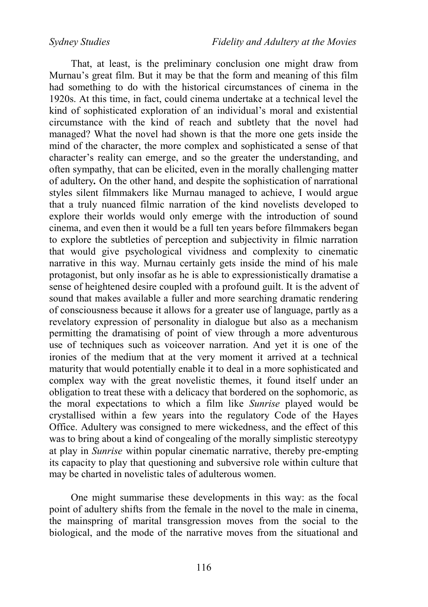That, at least, is the preliminary conclusion one might draw from Murnau's great film. But it may be that the form and meaning of this film had something to do with the historical circumstances of cinema in the 1920s. At this time, in fact, could cinema undertake at a technical level the kind of sophisticated exploration of an individual's moral and existential circumstance with the kind of reach and subtlety that the novel had managed? What the novel had shown is that the more one gets inside the mind of the character, the more complex and sophisticated a sense of that character's reality can emerge, and so the greater the understanding, and often sympathy, that can be elicited, even in the morally challenging matter of adultery*.* On the other hand, and despite the sophistication of narrational styles silent filmmakers like Murnau managed to achieve, I would argue that a truly nuanced filmic narration of the kind novelists developed to explore their worlds would only emerge with the introduction of sound cinema, and even then it would be a full ten years before filmmakers began to explore the subtleties of perception and subjectivity in filmic narration that would give psychological vividness and complexity to cinematic narrative in this way. Murnau certainly gets inside the mind of his male protagonist, but only insofar as he is able to expressionistically dramatise a sense of heightened desire coupled with a profound guilt. It is the advent of sound that makes available a fuller and more searching dramatic rendering of consciousness because it allows for a greater use of language, partly as a revelatory expression of personality in dialogue but also as a mechanism permitting the dramatising of point of view through a more adventurous use of techniques such as voiceover narration. And yet it is one of the ironies of the medium that at the very moment it arrived at a technical maturity that would potentially enable it to deal in a more sophisticated and complex way with the great novelistic themes, it found itself under an obligation to treat these with a delicacy that bordered on the sophomoric, as the moral expectations to which a film like *Sunrise* played would be crystallised within a few years into the regulatory Code of the Hayes Office. Adultery was consigned to mere wickedness, and the effect of this was to bring about a kind of congealing of the morally simplistic stereotypy at play in *Sunrise* within popular cinematic narrative, thereby pre-empting its capacity to play that questioning and subversive role within culture that may be charted in novelistic tales of adulterous women.

One might summarise these developments in this way: as the focal point of adultery shifts from the female in the novel to the male in cinema, the mainspring of marital transgression moves from the social to the biological, and the mode of the narrative moves from the situational and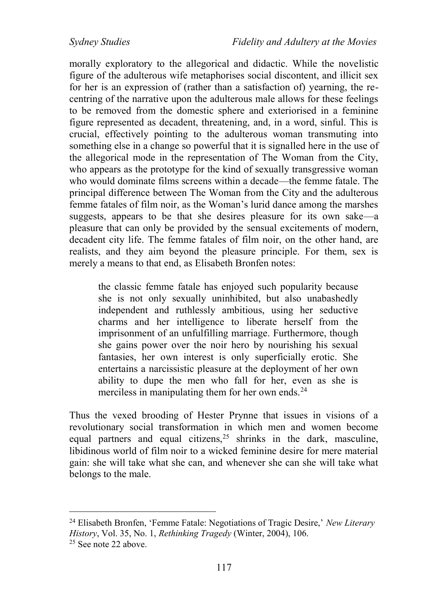morally exploratory to the allegorical and didactic. While the novelistic figure of the adulterous wife metaphorises social discontent, and illicit sex for her is an expression of (rather than a satisfaction of) yearning, the recentring of the narrative upon the adulterous male allows for these feelings to be removed from the domestic sphere and exteriorised in a feminine figure represented as decadent, threatening, and, in a word, sinful. This is crucial, effectively pointing to the adulterous woman transmuting into something else in a change so powerful that it is signalled here in the use of the allegorical mode in the representation of The Woman from the City, who appears as the prototype for the kind of sexually transgressive woman who would dominate films screens within a decade—the femme fatale. The principal difference between The Woman from the City and the adulterous femme fatales of film noir, as the Woman's lurid dance among the marshes suggests, appears to be that she desires pleasure for its own sake—a pleasure that can only be provided by the sensual excitements of modern, decadent city life. The femme fatales of film noir, on the other hand, are realists, and they aim beyond the pleasure principle. For them, sex is merely a means to that end, as Elisabeth Bronfen notes:

the classic femme fatale has enjoyed such popularity because she is not only sexually uninhibited, but also unabashedly independent and ruthlessly ambitious, using her seductive charms and her intelligence to liberate herself from the imprisonment of an unfulfilling marriage. Furthermore, though she gains power over the noir hero by nourishing his sexual fantasies, her own interest is only superficially erotic. She entertains a narcissistic pleasure at the deployment of her own ability to dupe the men who fall for her, even as she is merciless in manipulating them for her own ends.<sup>24</sup>

Thus the vexed brooding of Hester Prynne that issues in visions of a revolutionary social transformation in which men and women become equal partners and equal citizens,  $25$  shrinks in the dark, masculine, libidinous world of film noir to a wicked feminine desire for mere material gain: she will take what she can, and whenever she can she will take what belongs to the male.

<sup>24</sup> Elisabeth Bronfen, 'Femme Fatale: Negotiations of Tragic Desire,' *New Literary History*, Vol. 35, No. 1, *Rethinking Tragedy* (Winter, 2004), 106. <sup>25</sup> See note 22 above.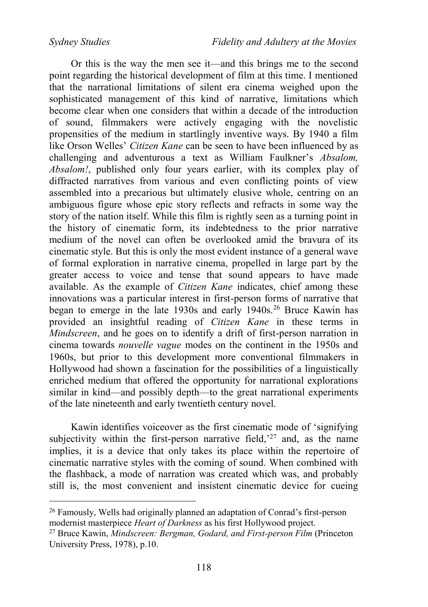Or this is the way the men see it—and this brings me to the second point regarding the historical development of film at this time. I mentioned that the narrational limitations of silent era cinema weighed upon the sophisticated management of this kind of narrative, limitations which become clear when one considers that within a decade of the introduction of sound, filmmakers were actively engaging with the novelistic propensities of the medium in startlingly inventive ways. By 1940 a film like Orson Welles' *Citizen Kane* can be seen to have been influenced by as challenging and adventurous a text as William Faulkner's *Absalom, Absalom!*, published only four years earlier, with its complex play of diffracted narratives from various and even conflicting points of view assembled into a precarious but ultimately elusive whole, centring on an ambiguous figure whose epic story reflects and refracts in some way the story of the nation itself. While this film is rightly seen as a turning point in the history of cinematic form, its indebtedness to the prior narrative medium of the novel can often be overlooked amid the bravura of its cinematic style. But this is only the most evident instance of a general wave of formal exploration in narrative cinema, propelled in large part by the greater access to voice and tense that sound appears to have made available. As the example of *Citizen Kane* indicates, chief among these innovations was a particular interest in first-person forms of narrative that began to emerge in the late 1930s and early 1940s.<sup>26</sup> Bruce Kawin has provided an insightful reading of *Citizen Kane* in these terms in *Mindscreen*, and he goes on to identify a drift of first-person narration in cinema towards *nouvelle vague* modes on the continent in the 1950s and 1960s, but prior to this development more conventional filmmakers in Hollywood had shown a fascination for the possibilities of a linguistically enriched medium that offered the opportunity for narrational explorations similar in kind—and possibly depth—to the great narrational experiments of the late nineteenth and early twentieth century novel.

Kawin identifies voiceover as the first cinematic mode of 'signifying subiectivity within the first-person narrative field,<sup>27</sup> and, as the name implies, it is a device that only takes its place within the repertoire of cinematic narrative styles with the coming of sound. When combined with the flashback, a mode of narration was created which was, and probably still is, the most convenient and insistent cinematic device for cueing

<sup>26</sup> Famously, Wells had originally planned an adaptation of Conrad's first-person modernist masterpiece *Heart of Darkness* as his first Hollywood project.

<sup>27</sup> Bruce Kawin, *Mindscreen: Bergman, Godard, and First-person Film* (Princeton University Press, 1978), p.10.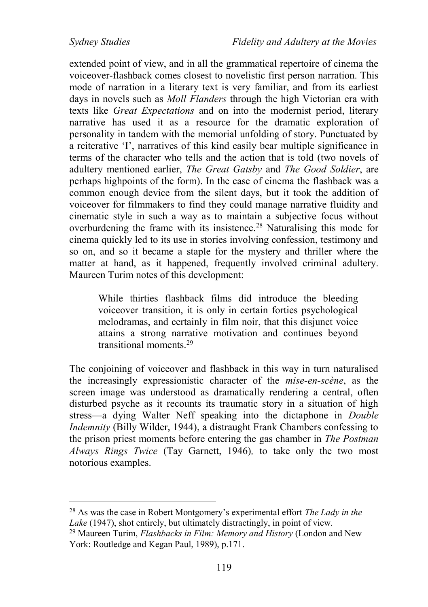extended point of view, and in all the grammatical repertoire of cinema the voiceover-flashback comes closest to novelistic first person narration. This mode of narration in a literary text is very familiar, and from its earliest days in novels such as *Moll Flanders* through the high Victorian era with texts like *Great Expectations* and on into the modernist period, literary narrative has used it as a resource for the dramatic exploration of personality in tandem with the memorial unfolding of story. Punctuated by a reiterative 'I', narratives of this kind easily bear multiple significance in terms of the character who tells and the action that is told (two novels of adultery mentioned earlier, *The Great Gatsby* and *The Good Soldier*, are perhaps highpoints of the form). In the case of cinema the flashback was a common enough device from the silent days, but it took the addition of voiceover for filmmakers to find they could manage narrative fluidity and cinematic style in such a way as to maintain a subjective focus without overburdening the frame with its insistence.<sup>28</sup> Naturalising this mode for cinema quickly led to its use in stories involving confession, testimony and so on, and so it became a staple for the mystery and thriller where the matter at hand, as it happened, frequently involved criminal adultery. Maureen Turim notes of this development:

While thirties flashback films did introduce the bleeding voiceover transition, it is only in certain forties psychological melodramas, and certainly in film noir, that this disjunct voice attains a strong narrative motivation and continues beyond transitional moments<sup>29</sup>

The conjoining of voiceover and flashback in this way in turn naturalised the increasingly expressionistic character of the *mise-en-scène*, as the screen image was understood as dramatically rendering a central, often disturbed psyche as it recounts its traumatic story in a situation of high stress—a dying Walter Neff speaking into the dictaphone in *Double Indemnity* (Billy Wilder, 1944), a distraught Frank Chambers confessing to the prison priest moments before entering the gas chamber in *The Postman Always Rings Twice* (Tay Garnett, 1946)*,* to take only the two most notorious examples.

<sup>28</sup> As was the case in Robert Montgomery's experimental effort *The Lady in the Lake* (1947), shot entirely, but ultimately distractingly, in point of view.

<sup>29</sup> Maureen Turim, *Flashbacks in Film: Memory and History* (London and New York: Routledge and Kegan Paul, 1989), p.171.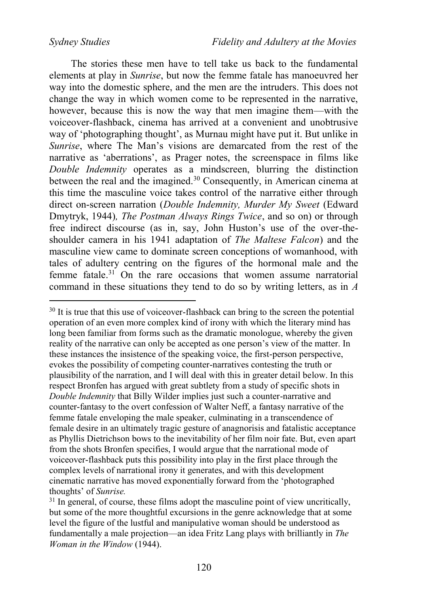The stories these men have to tell take us back to the fundamental elements at play in *Sunrise*, but now the femme fatale has manoeuvred her way into the domestic sphere, and the men are the intruders. This does not change the way in which women come to be represented in the narrative, however, because this is now the way that men imagine them—with the voiceover-flashback, cinema has arrived at a convenient and unobtrusive way of 'photographing thought', as Murnau might have put it. But unlike in *Sunrise*, where The Man's visions are demarcated from the rest of the narrative as 'aberrations', as Prager notes, the screenspace in films like *Double Indemnity* operates as a mindscreen, blurring the distinction between the real and the imagined.<sup>30</sup> Consequently, in American cinema at this time the masculine voice takes control of the narrative either through direct on-screen narration (*Double Indemnity, Murder My Sweet* (Edward Dmytryk, 1944)*, The Postman Always Rings Twice*, and so on) or through free indirect discourse (as in, say, John Huston's use of the over-theshoulder camera in his 1941 adaptation of *The Maltese Falcon*) and the masculine view came to dominate screen conceptions of womanhood, with tales of adultery centring on the figures of the hormonal male and the femme fatale.<sup>31</sup> On the rare occasions that women assume narratorial command in these situations they tend to do so by writing letters, as in *A* 

<sup>&</sup>lt;sup>30</sup> It is true that this use of voiceover-flashback can bring to the screen the potential operation of an even more complex kind of irony with which the literary mind has long been familiar from forms such as the dramatic monologue, whereby the given reality of the narrative can only be accepted as one person's view of the matter. In these instances the insistence of the speaking voice, the first-person perspective, evokes the possibility of competing counter-narratives contesting the truth or plausibility of the narration, and I will deal with this in greater detail below. In this respect Bronfen has argued with great subtlety from a study of specific shots in *Double Indemnity* that Billy Wilder implies just such a counter-narrative and counter-fantasy to the overt confession of Walter Neff, a fantasy narrative of the femme fatale enveloping the male speaker, culminating in a transcendence of female desire in an ultimately tragic gesture of anagnorisis and fatalistic acceptance as Phyllis Dietrichson bows to the inevitability of her film noir fate. But, even apart from the shots Bronfen specifies, I would argue that the narrational mode of voiceover-flashback puts this possibility into play in the first place through the complex levels of narrational irony it generates, and with this development cinematic narrative has moved exponentially forward from the 'photographed thoughts' of *Sunrise.*

 $31$  In general, of course, these films adopt the masculine point of view uncritically. but some of the more thoughtful excursions in the genre acknowledge that at some level the figure of the lustful and manipulative woman should be understood as fundamentally a male projection—an idea Fritz Lang plays with brilliantly in *The Woman in the Window* (1944).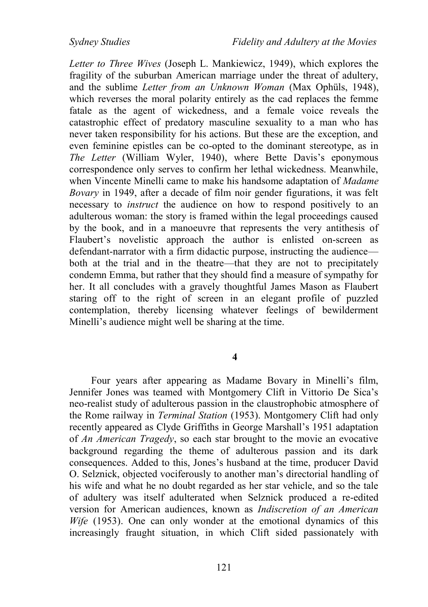*Letter to Three Wives* (Joseph L. Mankiewicz, 1949), which explores the fragility of the suburban American marriage under the threat of adultery, and the sublime *Letter from an Unknown Woman* (Max Ophüls, 1948), which reverses the moral polarity entirely as the cad replaces the femme fatale as the agent of wickedness, and a female voice reveals the catastrophic effect of predatory masculine sexuality to a man who has never taken responsibility for his actions. But these are the exception, and even feminine epistles can be co-opted to the dominant stereotype, as in *The Letter* (William Wyler, 1940), where Bette Davis's eponymous correspondence only serves to confirm her lethal wickedness. Meanwhile, when Vincente Minelli came to make his handsome adaptation of *Madame Bovary* in 1949, after a decade of film noir gender figurations, it was felt necessary to *instruct* the audience on how to respond positively to an adulterous woman: the story is framed within the legal proceedings caused by the book, and in a manoeuvre that represents the very antithesis of Flaubert's novelistic approach the author is enlisted on-screen as defendant-narrator with a firm didactic purpose, instructing the audience both at the trial and in the theatre—that they are not to precipitately condemn Emma, but rather that they should find a measure of sympathy for her. It all concludes with a gravely thoughtful James Mason as Flaubert staring off to the right of screen in an elegant profile of puzzled contemplation, thereby licensing whatever feelings of bewilderment Minelli's audience might well be sharing at the time.

**4**

Four years after appearing as Madame Bovary in Minelli's film, Jennifer Jones was teamed with Montgomery Clift in Vittorio De Sica's neo-realist study of adulterous passion in the claustrophobic atmosphere of the Rome railway in *Terminal Station* (1953). Montgomery Clift had only recently appeared as Clyde Griffiths in George Marshall's 1951 adaptation of *An American Tragedy*, so each star brought to the movie an evocative background regarding the theme of adulterous passion and its dark consequences. Added to this, Jones's husband at the time, producer David O. Selznick, objected vociferously to another man's directorial handling of his wife and what he no doubt regarded as her star vehicle, and so the tale of adultery was itself adulterated when Selznick produced a re-edited version for American audiences, known as *Indiscretion of an American Wife* (1953). One can only wonder at the emotional dynamics of this increasingly fraught situation, in which Clift sided passionately with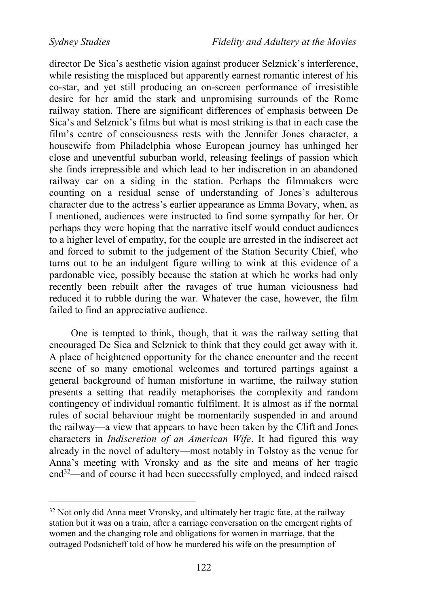director De Sica's aesthetic vision against producer Selznick's interference, while resisting the misplaced but apparently earnest romantic interest of his co-star, and yet still producing an on-screen performance of irresistible desire for her amid the stark and unpromising surrounds of the Rome railway station. There are significant differences of emphasis between De Sica's and Selznick's films but what is most striking is that in each case the film's centre of consciousness rests with the Jennifer Jones character, a housewife from Philadelphia whose European journey has unhinged her close and uneventful suburban world, releasing feelings of passion which she finds irrepressible and which lead to her indiscretion in an abandoned railway car on a siding in the station. Perhaps the filmmakers were counting on a residual sense of understanding of Jones's adulterous character due to the actress's earlier appearance as Emma Bovary, when, as I mentioned, audiences were instructed to find some sympathy for her. Or perhaps they were hoping that the narrative itself would conduct audiences to a higher level of empathy, for the couple are arrested in the indiscreet act and forced to submit to the judgement of the Station Security Chief, who turns out to be an indulgent figure willing to wink at this evidence of a pardonable vice, possibly because the station at which he works had only recently been rebuilt after the ravages of true human viciousness had reduced it to rubble during the war. Whatever the case, however, the film failed to find an appreciative audience.

One is tempted to think, though, that it was the railway setting that encouraged De Sica and Selznick to think that they could get away with it. A place of heightened opportunity for the chance encounter and the recent scene of so many emotional welcomes and tortured partings against a general background of human misfortune in wartime, the railway station presents a setting that readily metaphorises the complexity and random contingency of individual romantic fulfilment. It is almost as if the normal rules of social behaviour might be momentarily suspended in and around the railway—a view that appears to have been taken by the Clift and Jones characters in *Indiscretion of an American Wife*. It had figured this way already in the novel of adultery—most notably in Tolstoy as the venue for Anna's meeting with Vronsky and as the site and means of her tragic end<sup>32</sup>—and of course it had been successfully employed, and indeed raised

<sup>&</sup>lt;sup>32</sup> Not only did Anna meet Vronsky, and ultimately her tragic fate, at the railway station but it was on a train, after a carriage conversation on the emergent rights of women and the changing role and obligations for women in marriage, that the outraged Podsnicheff told of how he murdered his wife on the presumption of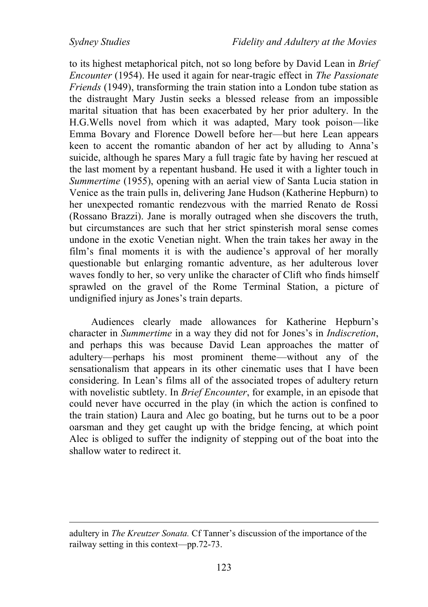to its highest metaphorical pitch, not so long before by David Lean in *Brief Encounter* (1954). He used it again for near-tragic effect in *The Passionate Friends* (1949), transforming the train station into a London tube station as the distraught Mary Justin seeks a blessed release from an impossible marital situation that has been exacerbated by her prior adultery. In the H.G.Wells novel from which it was adapted, Mary took poison—like Emma Bovary and Florence Dowell before her—but here Lean appears keen to accent the romantic abandon of her act by alluding to Anna's suicide, although he spares Mary a full tragic fate by having her rescued at the last moment by a repentant husband. He used it with a lighter touch in *Summertime* (1955), opening with an aerial view of Santa Lucia station in Venice as the train pulls in, delivering Jane Hudson (Katherine Hepburn) to her unexpected romantic rendezvous with the married Renato de Rossi (Rossano Brazzi). Jane is morally outraged when she discovers the truth, but circumstances are such that her strict spinsterish moral sense comes undone in the exotic Venetian night. When the train takes her away in the film's final moments it is with the audience's approval of her morally questionable but enlarging romantic adventure, as her adulterous lover waves fondly to her, so very unlike the character of Clift who finds himself sprawled on the gravel of the Rome Terminal Station, a picture of undignified injury as Jones's train departs.

Audiences clearly made allowances for Katherine Hepburn's character in *Summertime* in a way they did not for Jones's in *Indiscretion*, and perhaps this was because David Lean approaches the matter of adultery—perhaps his most prominent theme—without any of the sensationalism that appears in its other cinematic uses that I have been considering. In Lean's films all of the associated tropes of adultery return with novelistic subtlety. In *Brief Encounter*, for example, in an episode that could never have occurred in the play (in which the action is confined to the train station) Laura and Alec go boating, but he turns out to be a poor oarsman and they get caught up with the bridge fencing, at which point Alec is obliged to suffer the indignity of stepping out of the boat into the shallow water to redirect it.

adultery in *The Kreutzer Sonata.* Cf Tanner's discussion of the importance of the railway setting in this context—pp.72-73.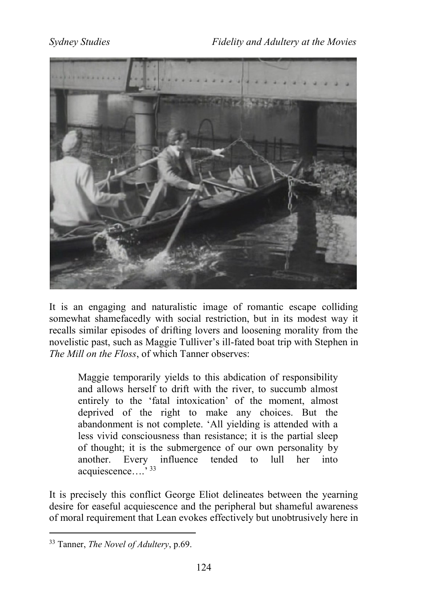

It is an engaging and naturalistic image of romantic escape colliding somewhat shamefacedly with social restriction, but in its modest way it recalls similar episodes of drifting lovers and loosening morality from the novelistic past, such as Maggie Tulliver's ill-fated boat trip with Stephen in *The Mill on the Floss*, of which Tanner observes:

Maggie temporarily yields to this abdication of responsibility and allows herself to drift with the river, to succumb almost entirely to the 'fatal intoxication' of the moment, almost deprived of the right to make any choices. But the abandonment is not complete. 'All yielding is attended with a less vivid consciousness than resistance; it is the partial sleep of thought; it is the submergence of our own personality by another. Every influence tended to lull her into acquiescence….' <sup>33</sup>

It is precisely this conflict George Eliot delineates between the yearning desire for easeful acquiescence and the peripheral but shameful awareness of moral requirement that Lean evokes effectively but unobtrusively here in

<sup>33</sup> Tanner, *The Novel of Adultery*, p.69.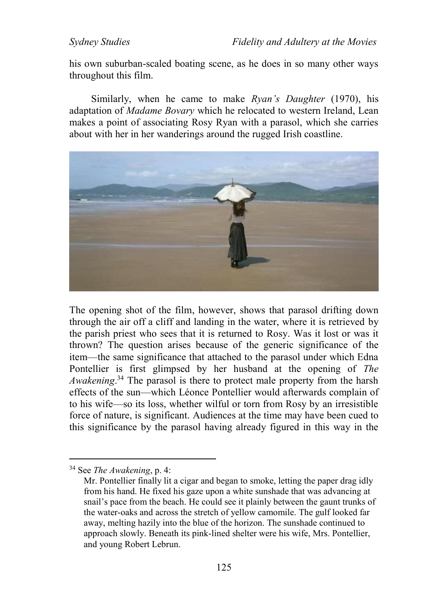his own suburban-scaled boating scene, as he does in so many other ways throughout this film.

Similarly, when he came to make *Ryan's Daughter* (1970), his adaptation of *Madame Bovary* which he relocated to western Ireland, Lean makes a point of associating Rosy Ryan with a parasol, which she carries about with her in her wanderings around the rugged Irish coastline.



The opening shot of the film, however, shows that parasol drifting down through the air off a cliff and landing in the water, where it is retrieved by the parish priest who sees that it is returned to Rosy. Was it lost or was it thrown? The question arises because of the generic significance of the item—the same significance that attached to the parasol under which Edna Pontellier is first glimpsed by her husband at the opening of *The Awakening*. <sup>34</sup> The parasol is there to protect male property from the harsh effects of the sun—which Léonce Pontellier would afterwards complain of to his wife—so its loss, whether wilful or torn from Rosy by an irresistible force of nature, is significant. Audiences at the time may have been cued to this significance by the parasol having already figured in this way in the

<sup>34</sup> See *The Awakening*, p. 4:

Mr. Pontellier finally lit a cigar and began to smoke, letting the paper drag idly from his hand. He fixed his gaze upon a white sunshade that was advancing at snail's pace from the beach. He could see it plainly between the gaunt trunks of the water-oaks and across the stretch of yellow camomile. The gulf looked far away, melting hazily into the blue of the horizon. The sunshade continued to approach slowly. Beneath its pink-lined shelter were his wife, Mrs. Pontellier, and young Robert Lebrun.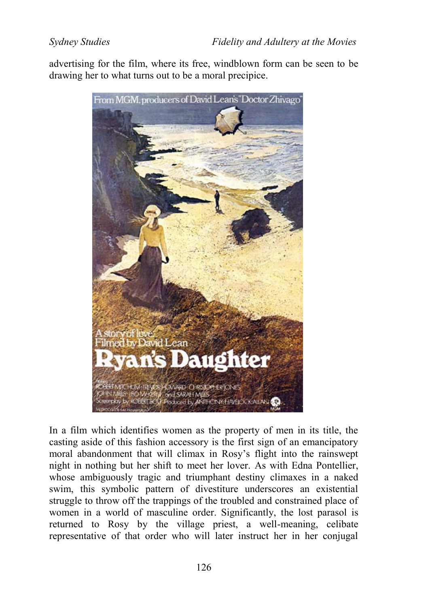advertising for the film, where its free, windblown form can be seen to be drawing her to what turns out to be a moral precipice.



In a film which identifies women as the property of men in its title, the casting aside of this fashion accessory is the first sign of an emancipatory moral abandonment that will climax in Rosy's flight into the rainswept night in nothing but her shift to meet her lover. As with Edna Pontellier, whose ambiguously tragic and triumphant destiny climaxes in a naked swim, this symbolic pattern of divestiture underscores an existential struggle to throw off the trappings of the troubled and constrained place of women in a world of masculine order. Significantly, the lost parasol is returned to Rosy by the village priest, a well-meaning, celibate representative of that order who will later instruct her in her conjugal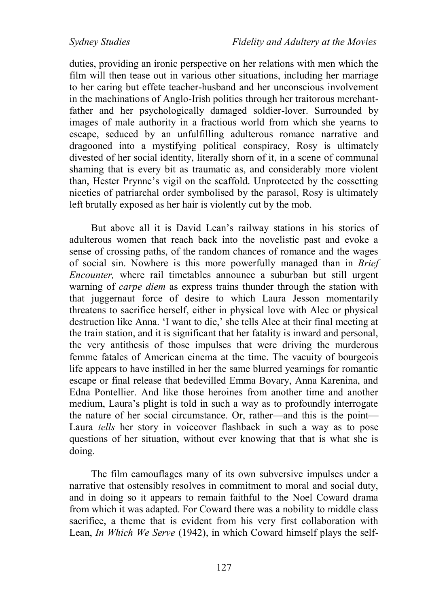duties, providing an ironic perspective on her relations with men which the film will then tease out in various other situations, including her marriage to her caring but effete teacher-husband and her unconscious involvement in the machinations of Anglo-Irish politics through her traitorous merchantfather and her psychologically damaged soldier-lover. Surrounded by images of male authority in a fractious world from which she yearns to escape, seduced by an unfulfilling adulterous romance narrative and dragooned into a mystifying political conspiracy, Rosy is ultimately divested of her social identity, literally shorn of it, in a scene of communal shaming that is every bit as traumatic as, and considerably more violent than, Hester Prynne's vigil on the scaffold. Unprotected by the cossetting niceties of patriarchal order symbolised by the parasol, Rosy is ultimately left brutally exposed as her hair is violently cut by the mob.

But above all it is David Lean's railway stations in his stories of adulterous women that reach back into the novelistic past and evoke a sense of crossing paths, of the random chances of romance and the wages of social sin. Nowhere is this more powerfully managed than in *Brief Encounter,* where rail timetables announce a suburban but still urgent warning of *carpe diem* as express trains thunder through the station with that juggernaut force of desire to which Laura Jesson momentarily threatens to sacrifice herself, either in physical love with Alec or physical destruction like Anna. 'I want to die,' she tells Alec at their final meeting at the train station, and it is significant that her fatality is inward and personal, the very antithesis of those impulses that were driving the murderous femme fatales of American cinema at the time. The vacuity of bourgeois life appears to have instilled in her the same blurred yearnings for romantic escape or final release that bedevilled Emma Bovary, Anna Karenina, and Edna Pontellier. And like those heroines from another time and another medium, Laura's plight is told in such a way as to profoundly interrogate the nature of her social circumstance. Or, rather—and this is the point— Laura *tells* her story in voiceover flashback in such a way as to pose questions of her situation, without ever knowing that that is what she is doing.

The film camouflages many of its own subversive impulses under a narrative that ostensibly resolves in commitment to moral and social duty, and in doing so it appears to remain faithful to the Noel Coward drama from which it was adapted. For Coward there was a nobility to middle class sacrifice, a theme that is evident from his very first collaboration with Lean, *In Which We Serve* (1942), in which Coward himself plays the self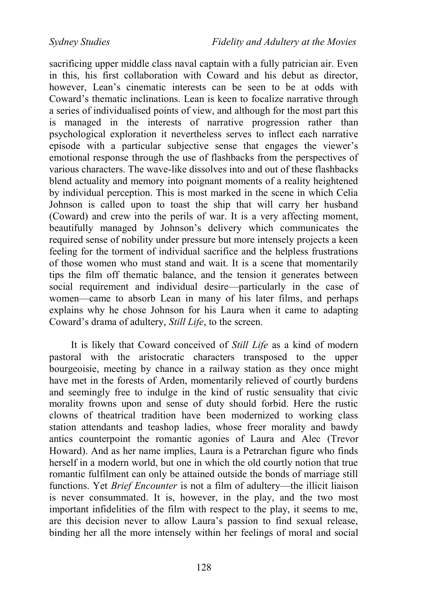sacrificing upper middle class naval captain with a fully patrician air. Even in this, his first collaboration with Coward and his debut as director, however. Lean's cinematic interests can be seen to be at odds with Coward's thematic inclinations. Lean is keen to focalize narrative through a series of individualised points of view, and although for the most part this is managed in the interests of narrative progression rather than psychological exploration it nevertheless serves to inflect each narrative episode with a particular subjective sense that engages the viewer's emotional response through the use of flashbacks from the perspectives of various characters. The wave-like dissolves into and out of these flashbacks blend actuality and memory into poignant moments of a reality heightened by individual perception. This is most marked in the scene in which Celia Johnson is called upon to toast the ship that will carry her husband (Coward) and crew into the perils of war. It is a very affecting moment, beautifully managed by Johnson's delivery which communicates the required sense of nobility under pressure but more intensely projects a keen feeling for the torment of individual sacrifice and the helpless frustrations of those women who must stand and wait. It is a scene that momentarily tips the film off thematic balance, and the tension it generates between social requirement and individual desire—particularly in the case of women—came to absorb Lean in many of his later films, and perhaps explains why he chose Johnson for his Laura when it came to adapting Coward's drama of adultery, *Still Life*, to the screen.

It is likely that Coward conceived of *Still Life* as a kind of modern pastoral with the aristocratic characters transposed to the upper bourgeoisie, meeting by chance in a railway station as they once might have met in the forests of Arden, momentarily relieved of courtly burdens and seemingly free to indulge in the kind of rustic sensuality that civic morality frowns upon and sense of duty should forbid. Here the rustic clowns of theatrical tradition have been modernized to working class station attendants and teashop ladies, whose freer morality and bawdy antics counterpoint the romantic agonies of Laura and Alec (Trevor Howard). And as her name implies, Laura is a Petrarchan figure who finds herself in a modern world, but one in which the old courtly notion that true romantic fulfilment can only be attained outside the bonds of marriage still functions. Yet *Brief Encounter* is not a film of adultery—the illicit liaison is never consummated. It is, however, in the play, and the two most important infidelities of the film with respect to the play, it seems to me, are this decision never to allow Laura's passion to find sexual release, binding her all the more intensely within her feelings of moral and social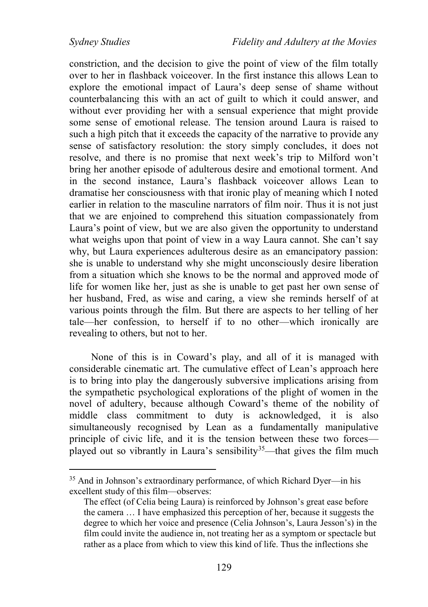constriction, and the decision to give the point of view of the film totally over to her in flashback voiceover. In the first instance this allows Lean to explore the emotional impact of Laura's deep sense of shame without counterbalancing this with an act of guilt to which it could answer, and without ever providing her with a sensual experience that might provide some sense of emotional release. The tension around Laura is raised to such a high pitch that it exceeds the capacity of the narrative to provide any sense of satisfactory resolution: the story simply concludes, it does not resolve, and there is no promise that next week's trip to Milford won't bring her another episode of adulterous desire and emotional torment. And in the second instance, Laura's flashback voiceover allows Lean to dramatise her consciousness with that ironic play of meaning which I noted earlier in relation to the masculine narrators of film noir. Thus it is not just that we are enjoined to comprehend this situation compassionately from Laura's point of view, but we are also given the opportunity to understand what weighs upon that point of view in a way Laura cannot. She can't say why, but Laura experiences adulterous desire as an emancipatory passion: she is unable to understand why she might unconsciously desire liberation from a situation which she knows to be the normal and approved mode of life for women like her, just as she is unable to get past her own sense of her husband, Fred, as wise and caring, a view she reminds herself of at various points through the film. But there are aspects to her telling of her tale—her confession, to herself if to no other—which ironically are revealing to others, but not to her.

None of this is in Coward's play, and all of it is managed with considerable cinematic art. The cumulative effect of Lean's approach here is to bring into play the dangerously subversive implications arising from the sympathetic psychological explorations of the plight of women in the novel of adultery, because although Coward's theme of the nobility of middle class commitment to duty is acknowledged, it is also simultaneously recognised by Lean as a fundamentally manipulative principle of civic life, and it is the tension between these two forces played out so vibrantly in Laura's sensibility<sup>35</sup>—that gives the film much

<sup>35</sup> And in Johnson's extraordinary performance, of which Richard Dyer—in his excellent study of this film—observes:

The effect (of Celia being Laura) is reinforced by Johnson's great ease before the camera … I have emphasized this perception of her, because it suggests the degree to which her voice and presence (Celia Johnson's, Laura Jesson's) in the film could invite the audience in, not treating her as a symptom or spectacle but rather as a place from which to view this kind of life. Thus the inflections she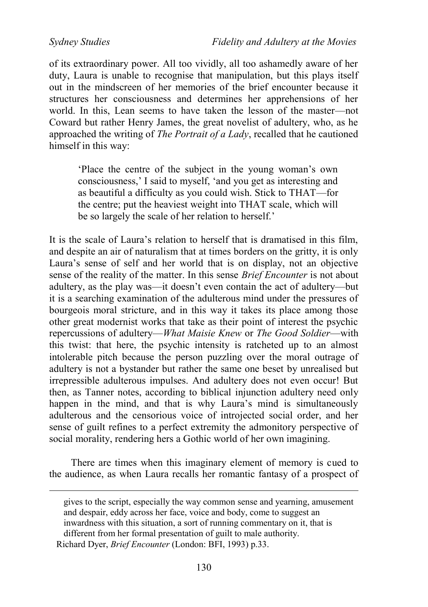*Sydney Studies Fidelity and Adultery at the Movies*

of its extraordinary power. All too vividly, all too ashamedly aware of her duty, Laura is unable to recognise that manipulation, but this plays itself out in the mindscreen of her memories of the brief encounter because it structures her consciousness and determines her apprehensions of her world. In this, Lean seems to have taken the lesson of the master—not Coward but rather Henry James, the great novelist of adultery, who, as he approached the writing of *The Portrait of a Lady*, recalled that he cautioned himself in this way:

'Place the centre of the subject in the young woman's own consciousness,' I said to myself, 'and you get as interesting and as beautiful a difficulty as you could wish. Stick to THAT—for the centre; put the heaviest weight into THAT scale, which will be so largely the scale of her relation to herself.'

It is the scale of Laura's relation to herself that is dramatised in this film, and despite an air of naturalism that at times borders on the gritty, it is only Laura's sense of self and her world that is on display, not an objective sense of the reality of the matter. In this sense *Brief Encounter* is not about adultery, as the play was—it doesn't even contain the act of adultery—but it is a searching examination of the adulterous mind under the pressures of bourgeois moral stricture, and in this way it takes its place among those other great modernist works that take as their point of interest the psychic repercussions of adultery—*What Maisie Knew* or *The Good Soldier*—with this twist: that here, the psychic intensity is ratcheted up to an almost intolerable pitch because the person puzzling over the moral outrage of adultery is not a bystander but rather the same one beset by unrealised but irrepressible adulterous impulses. And adultery does not even occur! But then, as Tanner notes, according to biblical injunction adultery need only happen in the mind, and that is why Laura's mind is simultaneously adulterous and the censorious voice of introjected social order, and her sense of guilt refines to a perfect extremity the admonitory perspective of social morality, rendering hers a Gothic world of her own imagining.

There are times when this imaginary element of memory is cued to the audience, as when Laura recalls her romantic fantasy of a prospect of

gives to the script, especially the way common sense and yearning, amusement and despair, eddy across her face, voice and body, come to suggest an inwardness with this situation, a sort of running commentary on it, that is different from her formal presentation of guilt to male authority.

Richard Dyer, *Brief Encounter* (London: BFI, 1993) p.33.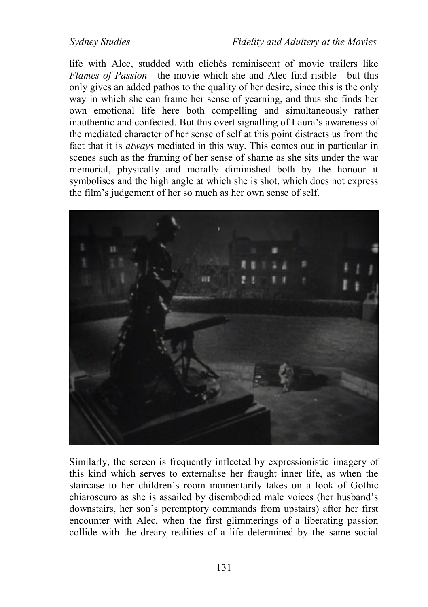life with Alec, studded with clichés reminiscent of movie trailers like *Flames of Passion*—the movie which she and Alec find risible—but this only gives an added pathos to the quality of her desire, since this is the only way in which she can frame her sense of yearning, and thus she finds her own emotional life here both compelling and simultaneously rather inauthentic and confected. But this overt signalling of Laura's awareness of the mediated character of her sense of self at this point distracts us from the fact that it is *always* mediated in this way. This comes out in particular in scenes such as the framing of her sense of shame as she sits under the war memorial, physically and morally diminished both by the honour it symbolises and the high angle at which she is shot, which does not express the film's judgement of her so much as her own sense of self.



Similarly, the screen is frequently inflected by expressionistic imagery of this kind which serves to externalise her fraught inner life, as when the staircase to her children's room momentarily takes on a look of Gothic chiaroscuro as she is assailed by disembodied male voices (her husband's downstairs, her son's peremptory commands from upstairs) after her first encounter with Alec, when the first glimmerings of a liberating passion collide with the dreary realities of a life determined by the same social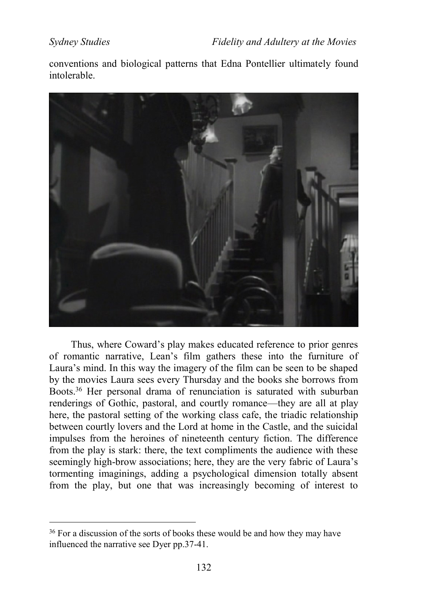conventions and biological patterns that Edna Pontellier ultimately found intolerable.



Thus, where Coward's play makes educated reference to prior genres of romantic narrative, Lean's film gathers these into the furniture of Laura's mind. In this way the imagery of the film can be seen to be shaped by the movies Laura sees every Thursday and the books she borrows from Boots.<sup>36</sup> Her personal drama of renunciation is saturated with suburban renderings of Gothic, pastoral, and courtly romance—they are all at play here, the pastoral setting of the working class cafe, the triadic relationship between courtly lovers and the Lord at home in the Castle, and the suicidal impulses from the heroines of nineteenth century fiction. The difference from the play is stark: there, the text compliments the audience with these seemingly high-brow associations; here, they are the very fabric of Laura's tormenting imaginings, adding a psychological dimension totally absent from the play, but one that was increasingly becoming of interest to

<sup>&</sup>lt;sup>36</sup> For a discussion of the sorts of books these would be and how they may have influenced the narrative see Dyer pp.37-41.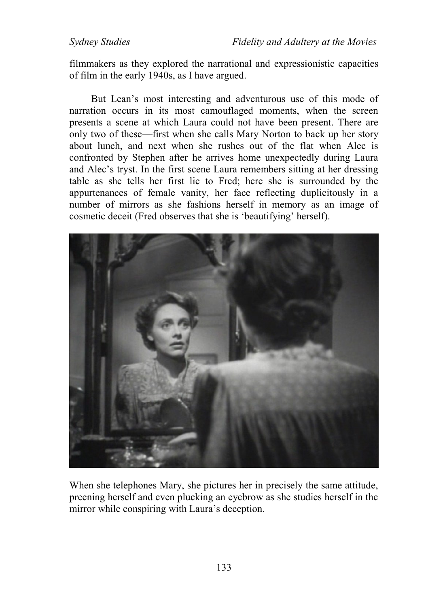filmmakers as they explored the narrational and expressionistic capacities of film in the early 1940s, as I have argued.

But Lean's most interesting and adventurous use of this mode of narration occurs in its most camouflaged moments, when the screen presents a scene at which Laura could not have been present. There are only two of these—first when she calls Mary Norton to back up her story about lunch, and next when she rushes out of the flat when Alec is confronted by Stephen after he arrives home unexpectedly during Laura and Alec's tryst. In the first scene Laura remembers sitting at her dressing table as she tells her first lie to Fred; here she is surrounded by the appurtenances of female vanity, her face reflecting duplicitously in a number of mirrors as she fashions herself in memory as an image of cosmetic deceit (Fred observes that she is 'beautifying' herself).



When she telephones Mary, she pictures her in precisely the same attitude, preening herself and even plucking an eyebrow as she studies herself in the mirror while conspiring with Laura's deception.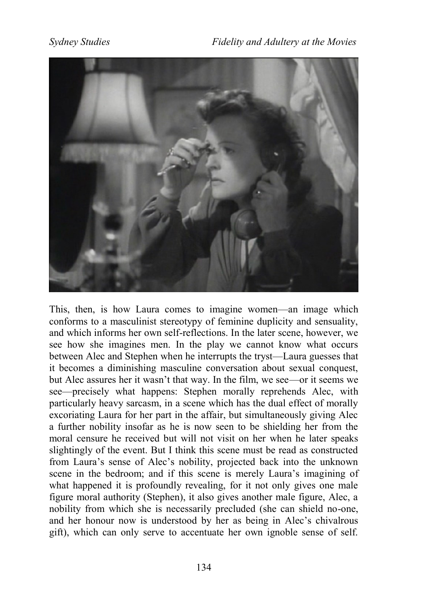

This, then, is how Laura comes to imagine women—an image which conforms to a masculinist stereotypy of feminine duplicity and sensuality, and which informs her own self-reflections. In the later scene, however, we see how she imagines men. In the play we cannot know what occurs between Alec and Stephen when he interrupts the tryst—Laura guesses that it becomes a diminishing masculine conversation about sexual conquest, but Alec assures her it wasn't that way. In the film, we see—or it seems we see—precisely what happens: Stephen morally reprehends Alec, with particularly heavy sarcasm, in a scene which has the dual effect of morally excoriating Laura for her part in the affair, but simultaneously giving Alec a further nobility insofar as he is now seen to be shielding her from the moral censure he received but will not visit on her when he later speaks slightingly of the event. But I think this scene must be read as constructed from Laura's sense of Alec's nobility, projected back into the unknown scene in the bedroom; and if this scene is merely Laura's imagining of what happened it is profoundly revealing, for it not only gives one male figure moral authority (Stephen), it also gives another male figure, Alec, a nobility from which she is necessarily precluded (she can shield no-one, and her honour now is understood by her as being in Alec's chivalrous gift), which can only serve to accentuate her own ignoble sense of self.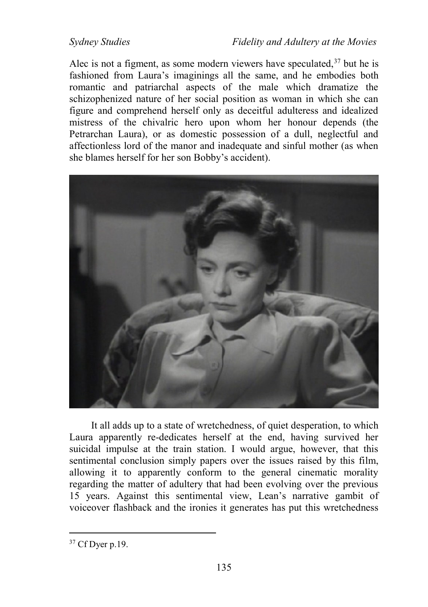Alec is not a figment, as some modern viewers have speculated,  $37$  but he is fashioned from Laura's imaginings all the same, and he embodies both romantic and patriarchal aspects of the male which dramatize the schizophenized nature of her social position as woman in which she can figure and comprehend herself only as deceitful adulteress and idealized mistress of the chivalric hero upon whom her honour depends (the Petrarchan Laura), or as domestic possession of a dull, neglectful and affectionless lord of the manor and inadequate and sinful mother (as when she blames herself for her son Bobby's accident).



It all adds up to a state of wretchedness, of quiet desperation, to which Laura apparently re-dedicates herself at the end, having survived her suicidal impulse at the train station. I would argue, however, that this sentimental conclusion simply papers over the issues raised by this film, allowing it to apparently conform to the general cinematic morality regarding the matter of adultery that had been evolving over the previous 15 years. Against this sentimental view, Lean's narrative gambit of voiceover flashback and the ironies it generates has put this wretchedness

<sup>37</sup> Cf Dyer p.19.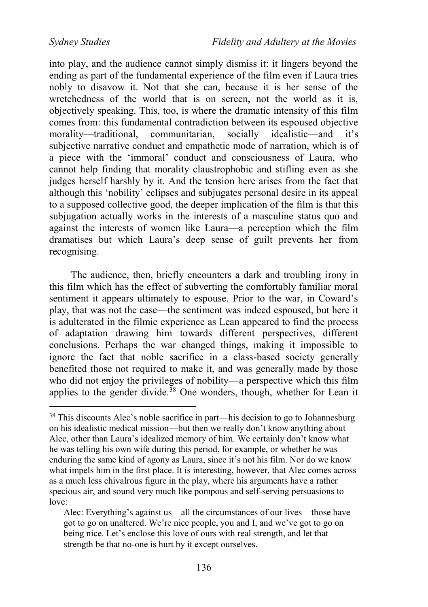into play, and the audience cannot simply dismiss it: it lingers beyond the ending as part of the fundamental experience of the film even if Laura tries nobly to disavow it. Not that she can, because it is her sense of the wretchedness of the world that is on screen, not the world as it is, objectively speaking. This, too, is where the dramatic intensity of this film comes from: this fundamental contradiction between its espoused objective morality—traditional, communitarian, socially idealistic—and it's subjective narrative conduct and empathetic mode of narration, which is of a piece with the 'immoral' conduct and consciousness of Laura, who cannot help finding that morality claustrophobic and stifling even as she judges herself harshly by it. And the tension here arises from the fact that although this 'nobility' eclipses and subjugates personal desire in its appeal to a supposed collective good, the deeper implication of the film is that this subjugation actually works in the interests of a masculine status quo and against the interests of women like Laura—a perception which the film dramatises but which Laura's deep sense of guilt prevents her from recognising.

The audience, then, briefly encounters a dark and troubling irony in this film which has the effect of subverting the comfortably familiar moral sentiment it appears ultimately to espouse. Prior to the war, in Coward's play, that was not the case—the sentiment was indeed espoused, but here it is adulterated in the filmic experience as Lean appeared to find the process of adaptation drawing him towards different perspectives, different conclusions. Perhaps the war changed things, making it impossible to ignore the fact that noble sacrifice in a class-based society generally benefited those not required to make it, and was generally made by those who did not enjoy the privileges of nobility—a perspective which this film applies to the gender divide.<sup>38</sup> One wonders, though, whether for Lean it

<sup>38</sup> This discounts Alec's noble sacrifice in part—his decision to go to Johannesburg on his idealistic medical mission—but then we really don't know anything about Alec, other than Laura's idealized memory of him. We certainly don't know what he was telling his own wife during this period, for example, or whether he was enduring the same kind of agony as Laura, since it's not his film. Nor do we know what impels him in the first place. It is interesting, however, that Alec comes across as a much less chivalrous figure in the play, where his arguments have a rather specious air, and sound very much like pompous and self-serving persuasions to  $lower$ 

Alec: Everything's against us—all the circumstances of our lives—those have got to go on unaltered. We're nice people, you and I, and we've got to go on being nice. Let's enclose this love of ours with real strength, and let that strength be that no-one is hurt by it except ourselves.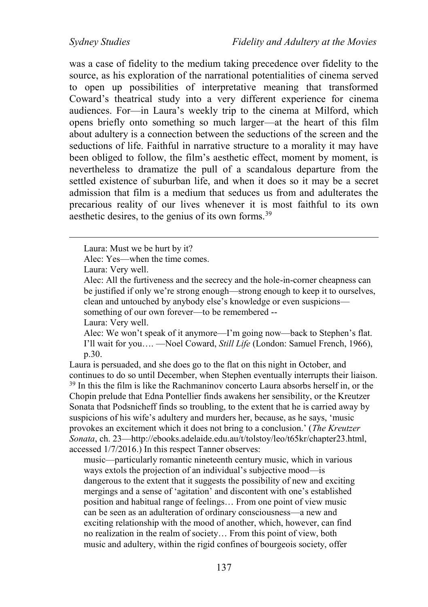was a case of fidelity to the medium taking precedence over fidelity to the source, as his exploration of the narrational potentialities of cinema served to open up possibilities of interpretative meaning that transformed Coward's theatrical study into a very different experience for cinema audiences. For—in Laura's weekly trip to the cinema at Milford, which opens briefly onto something so much larger—at the heart of this film about adultery is a connection between the seductions of the screen and the seductions of life. Faithful in narrative structure to a morality it may have been obliged to follow, the film's aesthetic effect, moment by moment, is nevertheless to dramatize the pull of a scandalous departure from the settled existence of suburban life, and when it does so it may be a secret admission that film is a medium that seduces us from and adulterates the precarious reality of our lives whenever it is most faithful to its own aesthetic desires, to the genius of its own forms.<sup>39</sup>

Alec: Yes—when the time comes.

Laura: Very well.

 $\overline{a}$ 

Laura: Very well.

Alec: We won't speak of it anymore—I'm going now—back to Stephen's flat. I'll wait for you…. —Noel Coward, *Still Life* (London: Samuel French, 1966), p.30.

Laura is persuaded, and she does go to the flat on this night in October, and continues to do so until December, when Stephen eventually interrupts their liaison. <sup>39</sup> In this the film is like the Rachmaninov concerto Laura absorbs herself in, or the Chopin prelude that Edna Pontellier finds awakens her sensibility, or the Kreutzer Sonata that Podsnicheff finds so troubling, to the extent that he is carried away by suspicions of his wife's adultery and murders her, because, as he says, 'music provokes an excitement which it does not bring to a conclusion.' (*The Kreutzer Sonata*, ch. 23—http://ebooks.adelaide.edu.au/t/tolstoy/leo/t65kr/chapter23.html, accessed  $1/7/2016$ .) In this respect Tanner observes:

music—particularly romantic nineteenth century music, which in various ways extols the projection of an individual's subjective mood—is dangerous to the extent that it suggests the possibility of new and exciting mergings and a sense of 'agitation' and discontent with one's established position and habitual range of feelings… From one point of view music can be seen as an adulteration of ordinary consciousness—a new and exciting relationship with the mood of another, which, however, can find no realization in the realm of society… From this point of view, both music and adultery, within the rigid confines of bourgeois society, offer

Laura: Must we be hurt by it?

Alec: All the furtiveness and the secrecy and the hole-in-corner cheapness can be justified if only we're strong enough—strong enough to keep it to ourselves, clean and untouched by anybody else's knowledge or even suspicions something of our own forever—to be remembered --